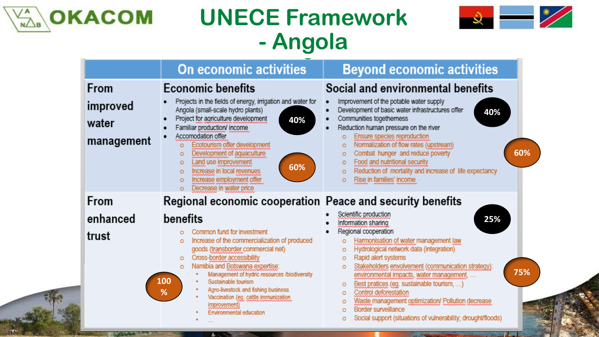



|             | On economic activities                                                                                                                                                                                                                                                                                                                                                                                                                | <b>Beyond economic activities</b>                                                                                                                                                                                                                                                                                                                                                                                                         |
|-------------|---------------------------------------------------------------------------------------------------------------------------------------------------------------------------------------------------------------------------------------------------------------------------------------------------------------------------------------------------------------------------------------------------------------------------------------|-------------------------------------------------------------------------------------------------------------------------------------------------------------------------------------------------------------------------------------------------------------------------------------------------------------------------------------------------------------------------------------------------------------------------------------------|
| <b>From</b> | <b>Economic benefits</b>                                                                                                                                                                                                                                                                                                                                                                                                              | Social and environmental benefits                                                                                                                                                                                                                                                                                                                                                                                                         |
| improved    | Projects in the fields of energy, irrigation and water for<br>Angola (small-scale hydro plants)                                                                                                                                                                                                                                                                                                                                       | Improvement of the potable water supply<br>Development of basic water infrastructures offer<br>40%                                                                                                                                                                                                                                                                                                                                        |
| water       | Project for agriculture development<br>40%<br>Familiar production/ income                                                                                                                                                                                                                                                                                                                                                             | Communities togetherness<br>Reduction human pressure on the river                                                                                                                                                                                                                                                                                                                                                                         |
| management  | Accomodation offer<br>Ecotourism offer development<br>$\circ$<br>Development of aquaculture<br>$\circ$<br>Land use improvement<br>$\circ$<br>60%<br>Increase in local revenues<br>$\circ$<br>Increase employment offer<br>$\circ$<br>Decrease in water price<br>$\circ$                                                                                                                                                               | Ensure species reproduction<br>Ō<br>Normalization of flow rates (upstream)<br>o<br>60%<br>Combat hunger and reduce poverty<br>o<br>Food and nutritional security<br>o<br>Reduction of mortality and increase of life expectancy<br>o<br>Rise in families' income<br>Ō                                                                                                                                                                     |
| From        | Regional economic cooperation Peace and security benefits                                                                                                                                                                                                                                                                                                                                                                             |                                                                                                                                                                                                                                                                                                                                                                                                                                           |
| enhanced    | benefits                                                                                                                                                                                                                                                                                                                                                                                                                              | Scientific production<br>25%<br>Information sharing                                                                                                                                                                                                                                                                                                                                                                                       |
| trust       | Common fund for investment<br>o<br>Increase of the commercialization of produced<br>$\circ$<br>goods (transborder commercial net)<br>Cross-border accessibility<br>$\circ$<br>Namibia and Botswana expertise:<br>$\circ$<br>Management of hydric resources /biodiversity<br>100<br>Sustainable tourism<br>Agro-livestock and fishing business<br>%<br>Vaccination (eg. cattle immunization<br>improvement)<br>Environmental education | Regional cooperation<br>Harmonisation of water management law<br>ō<br>Hydrological network data (integration)<br>o<br>Rapid alert systems<br>ō<br>Stakeholders envolvement (communication strategy):<br>Ō<br>75%<br>environmental impacts, water management,<br>Best pratices (eg. sustainable tourism, )<br>o<br>Control deforestation<br>Ō<br>Waste management optimization/ Pollution decrease<br>Ō<br><b>Border surveillance</b><br>ō |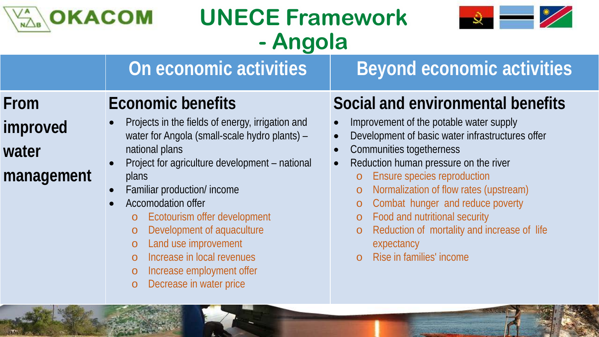

**On economic activities | Beyond economic activities** 



#### **From**

#### **improved**

#### **water**

**management**

# **Economic benefits**

- Projects in the fields of energy, irrigation and water for Angola (small-scale hydro plants) – national plans
- Project for agriculture development national plans
- Familiar production/ income
- Accomodation offer
	- o Ecotourism offer development
	- o Development of aquaculture
	- o Land use improvement
	- o Increase in local revenues
	- o Increase employment offer
	- o Decrease in water price

### **Social and environmental benefits**

- Improvement of the potable water supply
- Development of basic water infrastructures offer
- Communities togetherness
- Reduction human pressure on the river
	- Ensure species reproduction
	- o Normalization of flow rates (upstream)
	- o Combat hunger and reduce poverty
	- o Food and nutritional security
	- o Reduction of mortality and increase of life expectancy
	- Rise in families' income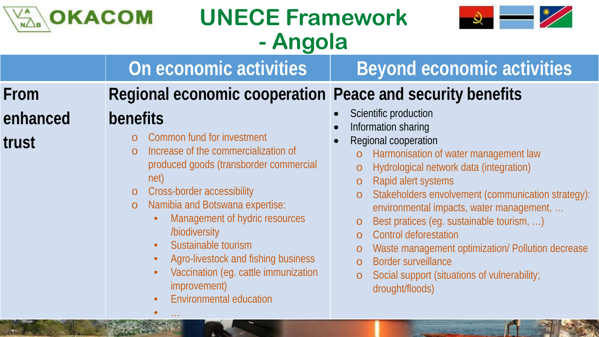



### **From enhanced trust**

### **Regional economic cooperation Peace and security benefits**

**On economic activities | Beyond economic activities** 

#### **benefits**

- o Common fund for investment
- o Increase of the commercialization of produced goods (transborder commercial net)
- o Cross-border accessibility
- o Namibia and Botswana expertise:
	- Management of hydric resources /biodiversity
	- Sustainable tourism
	- Agro-livestock and fishing business
	- Vaccination (eg. cattle immunization improvement)
	- Environmental education

 $\bullet$   $\ldots$ 

- Scientific production
- Information sharing
- Regional cooperation
	- o Harmonisation of water management law
	- o Hydrological network data (integration)
	- o Rapid alert systems
	- Stakeholders envolvement (communication strategy): environmental impacts, water management, …
	- o Best pratices (eg. sustainable tourism, …)
	- o Control deforestation
	- o Waste management optimization/ Pollution decrease
	- o Border surveillance
	- o Social support (situations of vulnerability; drought/floods)